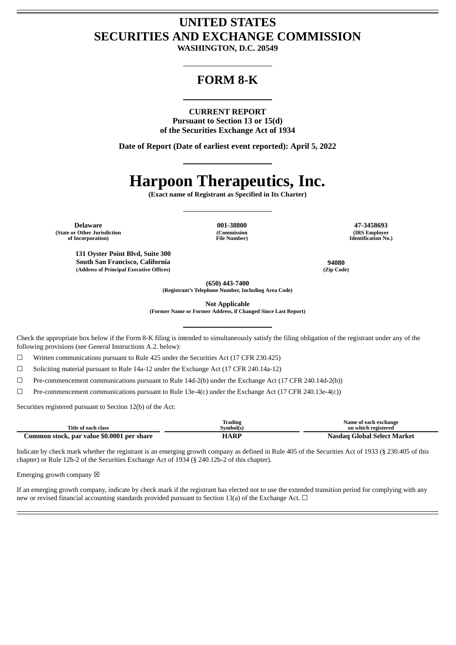## **UNITED STATES SECURITIES AND EXCHANGE COMMISSION**

**WASHINGTON, D.C. 20549**

### **FORM 8-K**

#### **CURRENT REPORT**

**Pursuant to Section 13 or 15(d) of the Securities Exchange Act of 1934**

**Date of Report (Date of earliest event reported): April 5, 2022**

# **Harpoon Therapeutics, Inc.**

**(Exact name of Registrant as Specified in Its Charter)**

**Delaware 001-38800 47-3458693 (State or Other Jurisdiction of Incorporation)**

**131 Oyster Point Blvd, Suite 300 South San Francisco, California 94080 (Address of Principal Executive Offices) (Zip Code)**

**(Commission File Number)**

**(IRS Employer Identification No.)**

**(650) 443-7400**

**(Registrant's Telephone Number, Including Area Code)**

**Not Applicable**

**(Former Name or Former Address, if Changed Since Last Report)**

Check the appropriate box below if the Form 8-K filing is intended to simultaneously satisfy the filing obligation of the registrant under any of the following provisions (see General Instructions A.2. below):

☐ Written communications pursuant to Rule 425 under the Securities Act (17 CFR 230.425)

☐ Soliciting material pursuant to Rule 14a-12 under the Exchange Act (17 CFR 240.14a-12)

☐ Pre-commencement communications pursuant to Rule 14d-2(b) under the Exchange Act (17 CFR 240.14d-2(b))

☐ Pre-commencement communications pursuant to Rule 13e-4(c) under the Exchange Act (17 CFR 240.13e-4(c))

Securities registered pursuant to Section 12(b) of the Act:

|                                            | Trading  | Name of each exchange       |
|--------------------------------------------|----------|-----------------------------|
| Title of each class                        | Svmbol(s | on which registered         |
| Common stock, par value \$0.0001 per share | HARP     | Nasdag Global Select Market |

Indicate by check mark whether the registrant is an emerging growth company as defined in Rule 405 of the Securities Act of 1933 (§ 230.405 of this chapter) or Rule 12b-2 of the Securities Exchange Act of 1934 (§ 240.12b-2 of this chapter).

Emerging growth company  $\boxtimes$ 

If an emerging growth company, indicate by check mark if the registrant has elected not to use the extended transition period for complying with any new or revised financial accounting standards provided pursuant to Section 13(a) of the Exchange Act.  $\Box$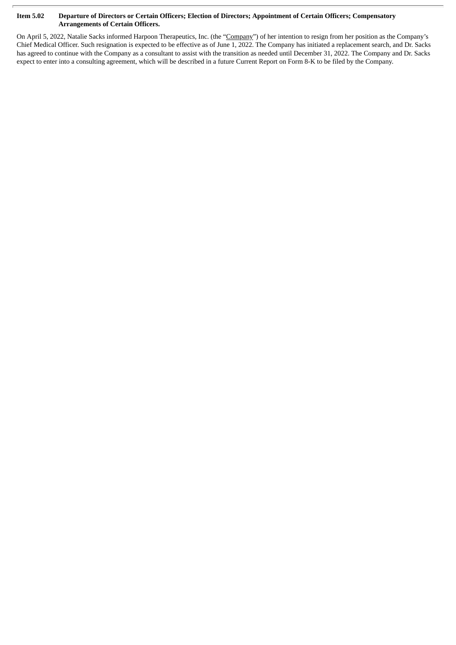#### Item 5.02 Departure of Directors or Certain Officers; Election of Directors; Appointment of Certain Officers; Compensatory **Arrangements of Certain Officers.**

On April 5, 2022, Natalie Sacks informed Harpoon Therapeutics, Inc. (the "Company") of her intention to resign from her position as the Company's Chief Medical Officer. Such resignation is expected to be effective as of June 1, 2022. The Company has initiated a replacement search, and Dr. Sacks has agreed to continue with the Company as a consultant to assist with the transition as needed until December 31, 2022. The Company and Dr. Sacks expect to enter into a consulting agreement, which will be described in a future Current Report on Form 8-K to be filed by the Company.